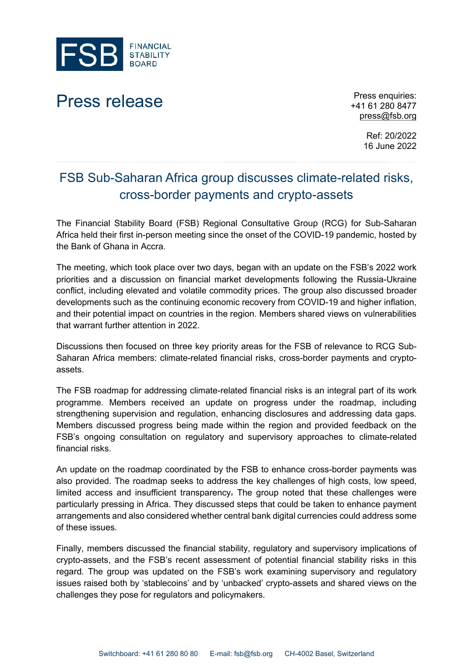

## Press release Press enquiries:

+41 61 280 8477 [press@fsb.org](mailto:press@fsb.org)

> Ref: 20/2022 16 June 2022

## FSB Sub-Saharan Africa group discusses climate-related risks, cross-border payments and crypto-assets

The Financial Stability Board (FSB) Regional Consultative Group (RCG) for Sub-Saharan Africa held their first in-person meeting since the onset of the COVID-19 pandemic, hosted by the Bank of Ghana in Accra.

The meeting, which took place over two days, began with an update on the FSB's 2022 work priorities and a discussion on financial market developments following the Russia-Ukraine conflict, including elevated and volatile commodity prices. The group also discussed broader developments such as the continuing economic recovery from COVID-19 and higher inflation, and their potential impact on countries in the region. Members shared views on vulnerabilities that warrant further attention in 2022.

Discussions then focused on three key priority areas for the FSB of relevance to RCG Sub-Saharan Africa members: climate-related financial risks, cross-border payments and cryptoassets.

The FSB roadmap for addressing climate-related financial risks is an integral part of its work programme. Members received an update on progress under the roadmap, including strengthening supervision and regulation, enhancing disclosures and addressing data gaps. Members discussed progress being made within the region and provided feedback on the FSB's ongoing consultation on regulatory and supervisory approaches to climate-related financial risks.

An update on the roadmap coordinated by the FSB to enhance cross-border payments was also provided. The roadmap seeks to address the key challenges of high costs, low speed, limited access and insufficient transparency. The group noted that these challenges were particularly pressing in Africa. They discussed steps that could be taken to enhance payment arrangements and also considered whether central bank digital currencies could address some of these issues.

Finally, members discussed the financial stability, regulatory and supervisory implications of crypto-assets, and the FSB's recent assessment of potential financial stability risks in this regard. The group was updated on the FSB's work examining supervisory and regulatory issues raised both by 'stablecoins' and by 'unbacked' crypto-assets and shared views on the challenges they pose for regulators and policymakers.